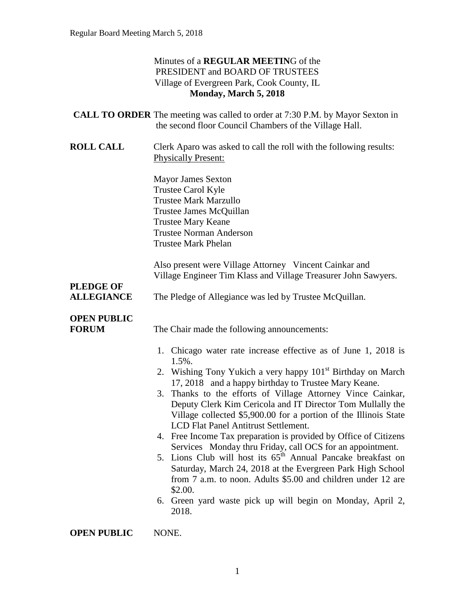|                                       | Minutes of a <b>REGULAR MEETING</b> of the<br>PRESIDENT and BOARD OF TRUSTEES<br>Village of Evergreen Park, Cook County, IL<br>Monday, March 5, 2018                                                                                                                                                                                                                                                                                                                                                                                                                                                                                                                                                                                                                                                                                                                      |
|---------------------------------------|---------------------------------------------------------------------------------------------------------------------------------------------------------------------------------------------------------------------------------------------------------------------------------------------------------------------------------------------------------------------------------------------------------------------------------------------------------------------------------------------------------------------------------------------------------------------------------------------------------------------------------------------------------------------------------------------------------------------------------------------------------------------------------------------------------------------------------------------------------------------------|
|                                       | <b>CALL TO ORDER</b> The meeting was called to order at 7:30 P.M. by Mayor Sexton in<br>the second floor Council Chambers of the Village Hall.                                                                                                                                                                                                                                                                                                                                                                                                                                                                                                                                                                                                                                                                                                                            |
| <b>ROLL CALL</b>                      | Clerk Aparo was asked to call the roll with the following results:<br><b>Physically Present:</b>                                                                                                                                                                                                                                                                                                                                                                                                                                                                                                                                                                                                                                                                                                                                                                          |
|                                       | <b>Mayor James Sexton</b><br>Trustee Carol Kyle<br><b>Trustee Mark Marzullo</b><br>Trustee James McQuillan<br><b>Trustee Mary Keane</b><br><b>Trustee Norman Anderson</b><br><b>Trustee Mark Phelan</b>                                                                                                                                                                                                                                                                                                                                                                                                                                                                                                                                                                                                                                                                   |
| <b>PLEDGE OF</b><br><b>ALLEGIANCE</b> | Also present were Village Attorney Vincent Cainkar and<br>Village Engineer Tim Klass and Village Treasurer John Sawyers.<br>The Pledge of Allegiance was led by Trustee McQuillan.                                                                                                                                                                                                                                                                                                                                                                                                                                                                                                                                                                                                                                                                                        |
| <b>OPEN PUBLIC</b><br><b>FORUM</b>    | The Chair made the following announcements:                                                                                                                                                                                                                                                                                                                                                                                                                                                                                                                                                                                                                                                                                                                                                                                                                               |
|                                       | 1. Chicago water rate increase effective as of June 1, 2018 is<br>1.5%.<br>2. Wishing Tony Yukich a very happy 101 <sup>st</sup> Birthday on March<br>17, 2018 and a happy birthday to Trustee Mary Keane.<br>Thanks to the efforts of Village Attorney Vince Cainkar,<br>3.<br>Deputy Clerk Kim Cericola and IT Director Tom Mullally the<br>Village collected \$5,900.00 for a portion of the Illinois State<br>LCD Flat Panel Antitrust Settlement.<br>4. Free Income Tax preparation is provided by Office of Citizens<br>Services Monday thru Friday, call OCS for an appointment.<br>5. Lions Club will host its $65th$ Annual Pancake breakfast on<br>Saturday, March 24, 2018 at the Evergreen Park High School<br>from 7 a.m. to noon. Adults \$5.00 and children under 12 are<br>\$2.00.<br>6. Green yard waste pick up will begin on Monday, April 2,<br>2018. |

**OPEN PUBLIC** NONE.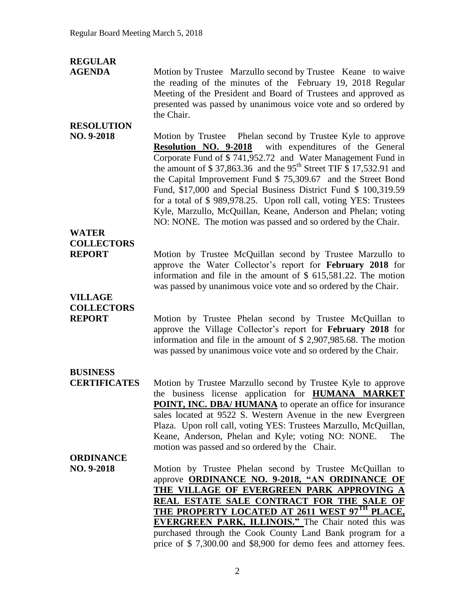| Motion by Trustee Marzullo second by Trustee Keane to waive<br>the reading of the minutes of the February 19, 2018 Regular                                                                                                                                                                                                                                                                                                                                                                                                                                                                                            |
|-----------------------------------------------------------------------------------------------------------------------------------------------------------------------------------------------------------------------------------------------------------------------------------------------------------------------------------------------------------------------------------------------------------------------------------------------------------------------------------------------------------------------------------------------------------------------------------------------------------------------|
| Meeting of the President and Board of Trustees and approved as<br>presented was passed by unanimous voice vote and so ordered by<br>the Chair.                                                                                                                                                                                                                                                                                                                                                                                                                                                                        |
| Motion by Trustee Phelan second by Trustee Kyle to approve<br><b>Resolution NO. 9-2018</b> with expenditures of the General<br>Corporate Fund of \$741,952.72 and Water Management Fund in<br>the amount of \$37,863.36 and the 95 <sup>th</sup> Street TIF \$17,532.91 and<br>the Capital Improvement Fund \$ 75,309.67 and the Street Bond<br>Fund, \$17,000 and Special Business District Fund \$ 100,319.59<br>for a total of \$989,978.25. Upon roll call, voting YES: Trustees<br>Kyle, Marzullo, McQuillan, Keane, Anderson and Phelan; voting<br>NO: NONE. The motion was passed and so ordered by the Chair. |
|                                                                                                                                                                                                                                                                                                                                                                                                                                                                                                                                                                                                                       |
|                                                                                                                                                                                                                                                                                                                                                                                                                                                                                                                                                                                                                       |
| Motion by Trustee McQuillan second by Trustee Marzullo to<br>approve the Water Collector's report for February 2018 for<br>information and file in the amount of $$615,581.22$ . The motion<br>was passed by unanimous voice vote and so ordered by the Chair.                                                                                                                                                                                                                                                                                                                                                        |
|                                                                                                                                                                                                                                                                                                                                                                                                                                                                                                                                                                                                                       |
| Motion by Trustee Phelan second by Trustee McQuillan to<br>approve the Village Collector's report for February 2018 for<br>information and file in the amount of $$2,907,985.68$ . The motion<br>was passed by unanimous voice vote and so ordered by the Chair.                                                                                                                                                                                                                                                                                                                                                      |
|                                                                                                                                                                                                                                                                                                                                                                                                                                                                                                                                                                                                                       |
| Motion by Trustee Marzullo second by Trustee Kyle to approve<br>the business license application for <b>HUMANA MARKET</b><br>POINT, INC. DBA/ HUMANA to operate an office for insurance<br>sales located at 9522 S. Western Avenue in the new Evergreen<br>Plaza. Upon roll call, voting YES: Trustees Marzullo, McQuillan,<br>Keane, Anderson, Phelan and Kyle; voting NO: NONE.<br>The<br>motion was passed and so ordered by the Chair.                                                                                                                                                                            |
| Motion by Trustee Phelan second by Trustee McQuillan to<br>approve <b>ORDINANCE NO. 9-2018, "AN ORDINANCE OF</b><br>THE VILLAGE OF EVERGREEN PARK APPROVING A<br>REAL ESTATE SALE CONTRACT FOR THE SALE OF<br>THE PROPERTY LOCATED AT 2611 WEST 97TH PLACE,<br><b>EVERGREEN PARK, ILLINOIS.</b> " The Chair noted this was<br>purchased through the Cook County Land Bank program for a<br>price of \$7,300.00 and \$8,900 for demo fees and attorney fees.                                                                                                                                                           |
|                                                                                                                                                                                                                                                                                                                                                                                                                                                                                                                                                                                                                       |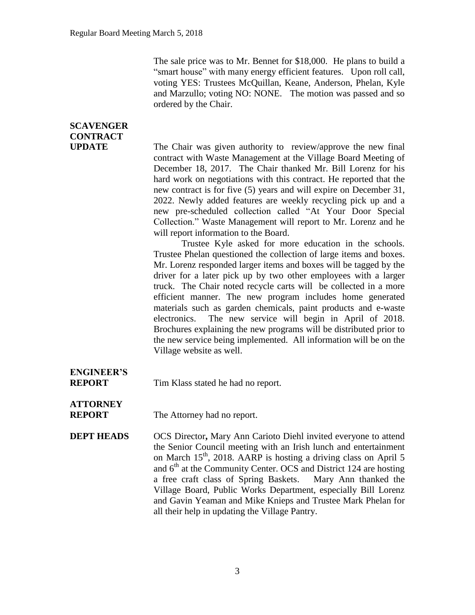The sale price was to Mr. Bennet for \$18,000. He plans to build a "smart house" with many energy efficient features. Upon roll call, voting YES: Trustees McQuillan, Keane, Anderson, Phelan, Kyle and Marzullo; voting NO: NONE. The motion was passed and so ordered by the Chair.

| <b>SCAVENGER</b>                   |                                                                                                                                                                                                                                                                                                                                                                                                                                                                                                                                                                                                                                                                                                                                                                                                                                                                                                                                                                                                                                                                                                                                                                                                                                                                                                       |
|------------------------------------|-------------------------------------------------------------------------------------------------------------------------------------------------------------------------------------------------------------------------------------------------------------------------------------------------------------------------------------------------------------------------------------------------------------------------------------------------------------------------------------------------------------------------------------------------------------------------------------------------------------------------------------------------------------------------------------------------------------------------------------------------------------------------------------------------------------------------------------------------------------------------------------------------------------------------------------------------------------------------------------------------------------------------------------------------------------------------------------------------------------------------------------------------------------------------------------------------------------------------------------------------------------------------------------------------------|
| <b>CONTRACT</b><br><b>UPDATE</b>   | The Chair was given authority to review/approve the new final<br>contract with Waste Management at the Village Board Meeting of<br>December 18, 2017. The Chair thanked Mr. Bill Lorenz for his<br>hard work on negotiations with this contract. He reported that the<br>new contract is for five (5) years and will expire on December 31,<br>2022. Newly added features are weekly recycling pick up and a<br>new pre-scheduled collection called "At Your Door Special<br>Collection." Waste Management will report to Mr. Lorenz and he<br>will report information to the Board.<br>Trustee Kyle asked for more education in the schools.<br>Trustee Phelan questioned the collection of large items and boxes.<br>Mr. Lorenz responded larger items and boxes will be tagged by the<br>driver for a later pick up by two other employees with a larger<br>truck. The Chair noted recycle carts will be collected in a more<br>efficient manner. The new program includes home generated<br>materials such as garden chemicals, paint products and e-waste<br>The new service will begin in April of 2018.<br>electronics.<br>Brochures explaining the new programs will be distributed prior to<br>the new service being implemented. All information will be on the<br>Village website as well. |
| <b>ENGINEER'S</b><br><b>REPORT</b> | Tim Klass stated he had no report.                                                                                                                                                                                                                                                                                                                                                                                                                                                                                                                                                                                                                                                                                                                                                                                                                                                                                                                                                                                                                                                                                                                                                                                                                                                                    |
| <b>ATTORNEY</b><br><b>REPORT</b>   | The Attorney had no report.                                                                                                                                                                                                                                                                                                                                                                                                                                                                                                                                                                                                                                                                                                                                                                                                                                                                                                                                                                                                                                                                                                                                                                                                                                                                           |
| <b>DEPT HEADS</b>                  | OCS Director, Mary Ann Carioto Diehl invited everyone to attend<br>the Senior Council meeting with an Irish lunch and entertainment<br>on March 15 <sup>th</sup> , 2018. AARP is hosting a driving class on April 5<br>and $6th$ at the Community Center. OCS and District 124 are hosting<br>a free craft class of Spring Baskets.<br>Mary Ann thanked the<br>Village Board, Public Works Department, especially Bill Lorenz<br>and Gavin Yeaman and Mike Knieps and Trustee Mark Phelan for                                                                                                                                                                                                                                                                                                                                                                                                                                                                                                                                                                                                                                                                                                                                                                                                         |

all their help in updating the Village Pantry.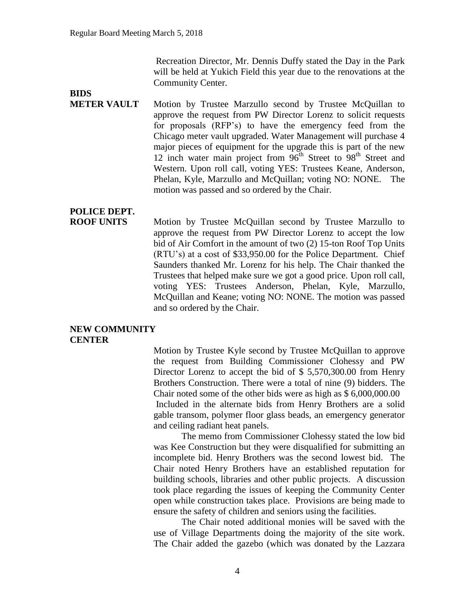Recreation Director, Mr. Dennis Duffy stated the Day in the Park will be held at Yukich Field this year due to the renovations at the Community Center.

## **BIDS**

**METER VAULT** Motion by Trustee Marzullo second by Trustee McQuillan to approve the request from PW Director Lorenz to solicit requests for proposals (RFP's) to have the emergency feed from the Chicago meter vault upgraded. Water Management will purchase 4 major pieces of equipment for the upgrade this is part of the new 12 inch water main project from  $96<sup>th</sup>$  Street to  $98<sup>th</sup>$  Street and Western. Upon roll call, voting YES: Trustees Keane, Anderson, Phelan, Kyle, Marzullo and McQuillan; voting NO: NONE. The motion was passed and so ordered by the Chair.

## **POLICE DEPT.**

**ROOF UNITS** Motion by Trustee McQuillan second by Trustee Marzullo to approve the request from PW Director Lorenz to accept the low bid of Air Comfort in the amount of two (2) 15-ton Roof Top Units (RTU's) at a cost of \$33,950.00 for the Police Department. Chief Saunders thanked Mr. Lorenz for his help. The Chair thanked the Trustees that helped make sure we got a good price. Upon roll call, voting YES: Trustees Anderson, Phelan, Kyle, Marzullo, McQuillan and Keane; voting NO: NONE. The motion was passed and so ordered by the Chair.

## **NEW COMMUNITY CENTER**

Motion by Trustee Kyle second by Trustee McQuillan to approve the request from Building Commissioner Clohessy and PW Director Lorenz to accept the bid of \$ 5,570,300.00 from Henry Brothers Construction. There were a total of nine (9) bidders. The Chair noted some of the other bids were as high as \$ 6,000,000.00 Included in the alternate bids from Henry Brothers are a solid gable transom, polymer floor glass beads, an emergency generator and ceiling radiant heat panels.

The memo from Commissioner Clohessy stated the low bid was Kee Construction but they were disqualified for submitting an incomplete bid. Henry Brothers was the second lowest bid. The Chair noted Henry Brothers have an established reputation for building schools, libraries and other public projects. A discussion took place regarding the issues of keeping the Community Center open while construction takes place. Provisions are being made to ensure the safety of children and seniors using the facilities.

The Chair noted additional monies will be saved with the use of Village Departments doing the majority of the site work. The Chair added the gazebo (which was donated by the Lazzara